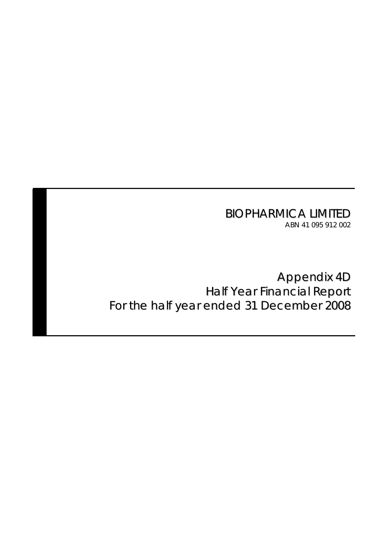BIOPHARMICA LIMITED ABN 41 095 912 002

Appendix 4D Half Year Financial Report For the half year ended 31 December 2008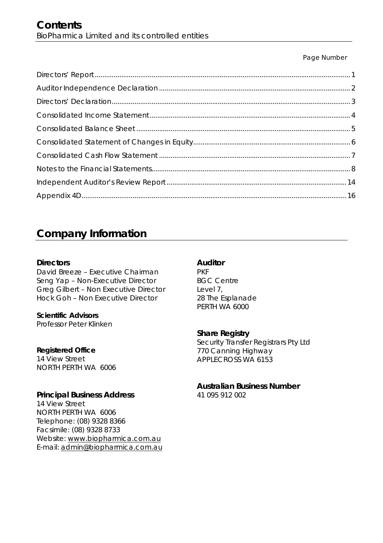### Page Number

# **Company Information**

### **Directors**

David Breeze – Executive Chairman Seng Yap – Non-Executive Director Greg Gilbert – Non Executive Director Hock Goh – Non Executive Director

**Scientific Advisors**  Professor Peter Klinken

## **Registered Office**

14 View Street NORTH PERTH WA 6006

## **Principal Business Address**

14 View Street NORTH PERTH WA 6006 Telephone: (08) 9328 8366 Facsimile: (08) 9328 8733 Website: www.biopharmica.com.au E-mail: admin@biopharmica.com.au

## **Auditor**

PKF BGC Centre Level 7, 28 The Esplanade PERTH WA 6000

## **Share Registry**

Security Transfer Registrars Pty Ltd 770 Canning Highway APPLECROSS WA 6153

## **Australian Business Number**

41 095 912 002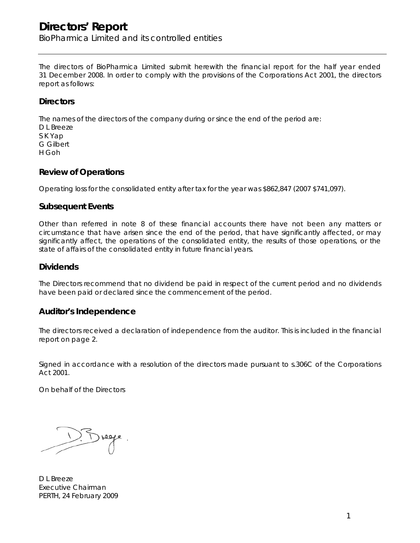## **Directors' Report**  BioPharmica Limited and its controlled entities

The directors of BioPharmica Limited submit herewith the financial report for the half year ended 31 December 2008. In order to comply with the provisions of the Corporations Act 2001, the directors report as follows:

### **Directors**

The names of the directors of the company during or since the end of the period are:

D L Breeze S K Yap G Gilbert H Goh

### **Review of Operations**

Operating loss for the consolidated entity after tax for the year was \$862,847 (2007 \$741,097).

### **Subsequent Events**

Other than referred in note 8 of these financial accounts there have not been any matters or circumstance that have arisen since the end of the period, that have significantly affected, or may significantly affect, the operations of the consolidated entity, the results of those operations, or the state of affairs of the consolidated entity in future financial years.

### **Dividends**

The Directors recommend that no dividend be paid in respect of the current period and no dividends have been paid or declared since the commencement of the period.

### **Auditor's Independence**

The directors received a declaration of independence from the auditor. This is included in the financial report on page 2.

Signed in accordance with a resolution of the directors made pursuant to s.306C of the Corporations Act 2001.

On behalf of the Directors

D L Breeze Executive Chairman PERTH, 24 February 2009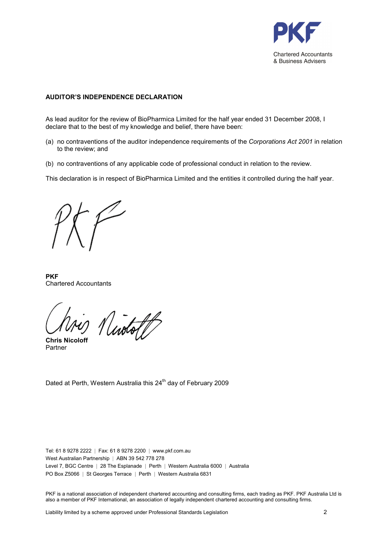

### AUDITOR'S INDEPENDENCE DECLARATION

As lead auditor for the review of BioPharmica Limited for the half year ended 31 December 2008, I declare that to the best of my knowledge and belief, there have been:

- (a) no contraventions of the auditor independence requirements of the Corporations Act 2001 in relation to the review; and
- (b) no contraventions of any applicable code of professional conduct in relation to the review.

This declaration is in respect of BioPharmica Limited and the entities it controlled during the half year.

**PKF** Chartered Accountants

Nuotott

**Chris Nicolof** Partner

Dated at Perth, Western Australia this 24<sup>th</sup> day of February 2009

Tel: 61 8 9278 2222 | Fax: 61 8 9278 2200 | www.pkf.com.au West Australian Partnership | ABN 39 542 778 278 Level 7, BGC Centre | 28 The Esplanade | Perth | Western Australia 6000 | Australia PO Box Z5066 | St Georges Terrace | Perth | Western Australia 6831

PKF is a national association of independent chartered accounting and consulting firms, each trading as PKF. PKF Australia Ltd is also a member of PKF International, an association of legally independent chartered accounting and consulting firms.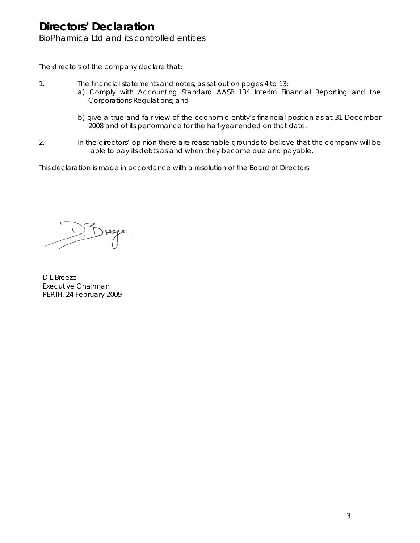BioPharmica Ltd and its controlled entities

The directors of the company declare that:

- 1. The financial statements and notes, as set out on pages 4 to 13:
	- a) Comply with Accounting Standard AASB 134 Interim Financial Reporting and the Corporations Regulations; and
	- b) give a true and fair view of the economic entity's financial position as at 31 December 2008 and of its performance for the half-year ended on that date.
- 2. In the directors' opinion there are reasonable grounds to believe that the company will be able to pay its debts as and when they become due and payable.

This declaration is made in accordance with a resolution of the Board of Directors.

Drege

D L Breeze Executive Chairman PERTH, 24 February 2009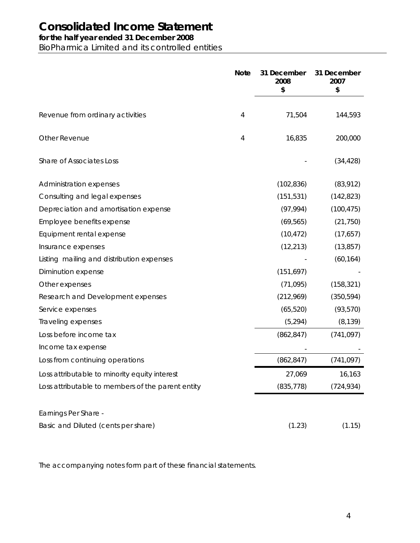# **Consolidated Income Statement**

## **for the half year ended 31 December 2008**

BioPharmica Limited and its controlled entities

|                                                   | <b>Note</b> | 31 December<br>2008<br>\$ | 31 December<br>2007<br>\$ |
|---------------------------------------------------|-------------|---------------------------|---------------------------|
| Revenue from ordinary activities                  | 4           | 71,504                    | 144,593                   |
|                                                   |             |                           |                           |
| Other Revenue                                     | 4           | 16,835                    | 200,000                   |
| Share of Associates Loss                          |             |                           | (34, 428)                 |
| Administration expenses                           |             | (102, 836)                | (83,912)                  |
| Consulting and legal expenses                     |             | (151, 531)                | (142, 823)                |
| Depreciation and amortisation expense             |             | (97, 994)                 | (100, 475)                |
| Employee benefits expense                         |             | (69, 565)                 | (21, 750)                 |
| Equipment rental expense                          |             | (10, 472)                 | (17,657)                  |
| Insurance expenses                                |             | (12, 213)                 | (13, 857)                 |
| Listing mailing and distribution expenses         |             |                           | (60, 164)                 |
| Diminution expense                                |             | (151, 697)                |                           |
| Other expenses                                    |             | (71, 095)                 | (158, 321)                |
| Research and Development expenses                 |             | (212,969)                 | (350, 594)                |
| Service expenses                                  |             | (65, 520)                 | (93, 570)                 |
| Traveling expenses                                |             | (5, 294)                  | (8, 139)                  |
| Loss before income tax                            |             | (862, 847)                | (741, 097)                |
| Income tax expense                                |             |                           |                           |
| Loss from continuing operations                   |             | (862, 847)                | (741, 097)                |
| Loss attributable to minority equity interest     |             | 27,069                    | 16,163                    |
| Loss attributable to members of the parent entity |             | (835, 778)                | (724, 934)                |
| Earnings Per Share -                              |             |                           |                           |
| Basic and Diluted (cents per share)               |             | (1.23)                    | (1.15)                    |

The accompanying notes form part of these financial statements.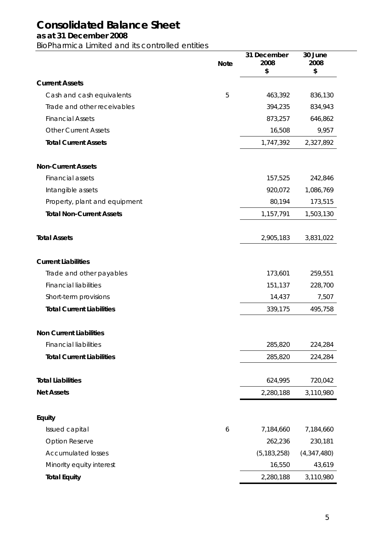# **Consolidated Balance Sheet**

### **as at 31 December 2008**

BioPharmica Limited and its controlled entities

|                                  | <b>Note</b> | 31 December<br>2008<br>\$ | 30 June<br>2008<br>\$ |
|----------------------------------|-------------|---------------------------|-----------------------|
| <b>Current Assets</b>            |             |                           |                       |
| Cash and cash equivalents        | 5           | 463,392                   | 836,130               |
| Trade and other receivables      |             | 394,235                   | 834,943               |
| <b>Financial Assets</b>          |             | 873,257                   | 646,862               |
| <b>Other Current Assets</b>      |             | 16,508                    | 9,957                 |
| <b>Total Current Assets</b>      |             | 1,747,392                 | 2,327,892             |
| <b>Non-Current Assets</b>        |             |                           |                       |
| Financial assets                 |             | 157,525                   | 242,846               |
| Intangible assets                |             | 920,072                   | 1,086,769             |
| Property, plant and equipment    |             | 80,194                    | 173,515               |
| <b>Total Non-Current Assets</b>  |             | 1,157,791                 | 1,503,130             |
| <b>Total Assets</b>              |             | 2,905,183                 | 3,831,022             |
| <b>Current Liabilities</b>       |             |                           |                       |
| Trade and other payables         |             | 173,601                   | 259,551               |
| <b>Financial liabilities</b>     |             | 151,137                   | 228,700               |
| Short-term provisions            |             | 14,437                    | 7,507                 |
| <b>Total Current Liabilities</b> |             | 339,175                   | 495,758               |
| <b>Non Current Liabilities</b>   |             |                           |                       |
| <b>Financial liabilities</b>     |             | 285,820                   | 224,284               |
| <b>Total Current Liabilities</b> |             | 285,820                   | 224,284               |
| <b>Total Liabilities</b>         |             | 624,995                   | 720,042               |
| <b>Net Assets</b>                |             | 2,280,188                 | 3,110,980             |
| Equity                           |             |                           |                       |
| Issued capital                   | 6           | 7,184,660                 | 7,184,660             |
| <b>Option Reserve</b>            |             | 262,236                   | 230,181               |
| <b>Accumulated losses</b>        |             | (5, 183, 258)             | (4,347,480)           |
| Minority equity interest         |             | 16,550                    | 43,619                |
| <b>Total Equity</b>              |             | 2,280,188                 | 3,110,980             |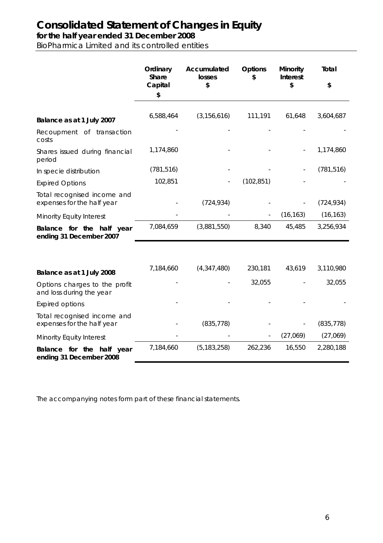# **Consolidated Statement of Changes in Equity**

**for the half year ended 31 December 2008**

BioPharmica Limited and its controlled entities

|                                                           | Ordinary<br><b>Share</b><br>Capital<br>\$ | Accumulated<br>losses<br>\$ | <b>Options</b><br>\$ | Minority<br><b>Interest</b><br>\$ | Total<br>\$ |
|-----------------------------------------------------------|-------------------------------------------|-----------------------------|----------------------|-----------------------------------|-------------|
| Balance as at 1 July 2007                                 | 6,588,464                                 | (3, 156, 616)               | 111,191              | 61,648                            | 3,604,687   |
| Recoupment of transaction<br>costs                        |                                           |                             |                      |                                   |             |
| Shares issued during financial<br>period                  | 1,174,860                                 |                             |                      |                                   | 1,174,860   |
| In specie distribution                                    | (781, 516)                                |                             |                      |                                   | (781, 516)  |
| <b>Expired Options</b>                                    | 102,851                                   |                             | (102, 851)           |                                   |             |
| Total recognised income and<br>expenses for the half year |                                           | (724, 934)                  |                      |                                   | (724, 934)  |
| Minority Equity Interest                                  |                                           |                             |                      | (16, 163)                         | (16, 163)   |
| Balance for the half year<br>ending 31 December 2007      | 7,084,659                                 | (3,881,550)                 | 8,340                | 45,485                            | 3,256,934   |
|                                                           |                                           |                             |                      |                                   |             |
| Balance as at 1 July 2008                                 | 7,184,660                                 | (4,347,480)                 | 230,181              | 43,619                            | 3,110,980   |
| Options charges to the profit<br>and loss during the year |                                           |                             | 32,055               |                                   | 32,055      |
| <b>Expired options</b>                                    |                                           |                             |                      |                                   |             |
| Total recognised income and<br>expenses for the half year |                                           | (835, 778)                  |                      |                                   | (835, 778)  |
| Minority Equity Interest                                  |                                           |                             |                      | (27,069)                          | (27,069)    |
| Balance for the half year<br>ending 31 December 2008      | 7,184,660                                 | (5, 183, 258)               | 262,236              | 16,550                            | 2,280,188   |

The accompanying notes form part of these financial statements.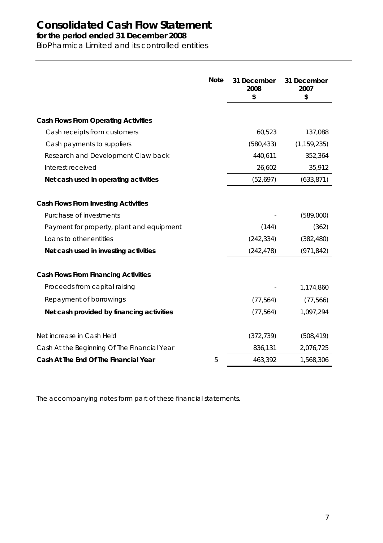# **Consolidated Cash Flow Statement**

**for the period ended 31 December 2008**

BioPharmica Limited and its controlled entities

|                                             | <b>Note</b> | 31 December<br>2008<br>\$ | 31 December<br>2007<br>\$ |
|---------------------------------------------|-------------|---------------------------|---------------------------|
| <b>Cash Flows From Operating Activities</b> |             |                           |                           |
| Cash receipts from customers                |             | 60,523                    | 137,088                   |
| Cash payments to suppliers                  |             | (580, 433)                | (1, 159, 235)             |
| Research and Development Claw back          |             | 440,611                   | 352,364                   |
| Interest received                           |             | 26,602                    | 35,912                    |
| Net cash used in operating activities       |             | (52, 697)                 | (633, 871)                |
| <b>Cash Flows From Investing Activities</b> |             |                           |                           |
| Purchase of investments                     |             |                           | (589,000)                 |
| Payment for property, plant and equipment   |             | (144)                     | (362)                     |
| Loans to other entities                     |             | (242, 334)                | (382, 480)                |
| Net cash used in investing activities       |             | (242, 478)                | (971, 842)                |
| <b>Cash Flows From Financing Activities</b> |             |                           |                           |
| Proceeds from capital raising               |             |                           | 1,174,860                 |
| Repayment of borrowings                     |             | (77, 564)                 | (77, 566)                 |
| Net cash provided by financing activities   |             | (77, 564)                 | 1,097,294                 |
| Net increase in Cash Held                   |             | (372, 739)                | (508, 419)                |
| Cash At the Beginning Of The Financial Year |             | 836,131                   | 2,076,725                 |
| Cash At The End Of The Financial Year       | 5           | 463,392                   | 1,568,306                 |

The accompanying notes form part of these financial statements.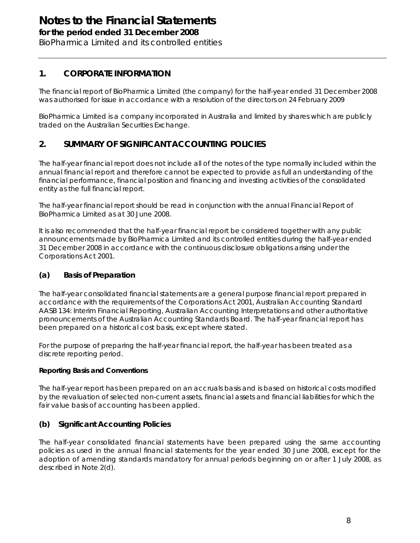# **Notes to the Financial Statements**

**for the period ended 31 December 2008**

BioPharmica Limited and its controlled entities

## **1. CORPORATE INFORMATION**

The financial report of BioPharmica Limited (the company) for the half-year ended 31 December 2008 was authorised for issue in accordance with a resolution of the directors on 24 February 2009

BioPharmica Limited is a company incorporated in Australia and limited by shares which are publicly traded on the Australian Securities Exchange.

## **2. SUMMARY OF SIGNIFICANT ACCOUNTING POLICIES**

The half-year financial report does not include all of the notes of the type normally included within the annual financial report and therefore cannot be expected to provide as full an understanding of the financial performance, financial position and financing and investing activities of the consolidated entity as the full financial report.

The half-year financial report should be read in conjunction with the annual Financial Report of BioPharmica Limited as at 30 June 2008.

It is also recommended that the half-year financial report be considered together with any public announcements made by BioPharmica Limited and its controlled entities during the half-year ended 31 December 2008 in accordance with the continuous disclosure obligations arising under the Corporations Act 2001.

### **(a) Basis of Preparation**

The half-year consolidated financial statements are a general purpose financial report prepared in accordance with the requirements of the Corporations Act 2001, Australian Accounting Standard AASB 134: Interim Financial Reporting, Australian Accounting Interpretations and other authoritative pronouncements of the Australian Accounting Standards Board. The half-year financial report has been prepared on a historical cost basis, except where stated.

For the purpose of preparing the half-year financial report, the half-year has been treated as a discrete reporting period.

### **Reporting Basis and Conventions**

The half-year report has been prepared on an accruals basis and is based on historical costs modified by the revaluation of selected non-current assets, financial assets and financial liabilities for which the fair value basis of accounting has been applied.

### **(b) Significant Accounting Policies**

The half-year consolidated financial statements have been prepared using the same accounting policies as used in the annual financial statements for the year ended 30 June 2008, except for the adoption of amending standards mandatory for annual periods beginning on or after 1 July 2008, as described in Note 2(d).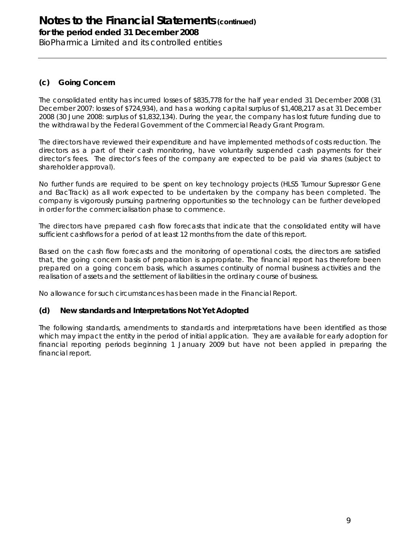**for the period ended 31 December 2008**

BioPharmica Limited and its controlled entities

### **(c) Going Concern**

The consolidated entity has incurred losses of \$835,778 for the half year ended 31 December 2008 (31 December 2007: losses of \$724,934), and has a working capital surplus of \$1,408,217 as at 31 December 2008 (30 June 2008: surplus of \$1,832,134). During the year, the company has lost future funding due to the withdrawal by the Federal Government of the Commercial Ready Grant Program.

The directors have reviewed their expenditure and have implemented methods of costs reduction. The directors as a part of their cash monitoring, have voluntarily suspended cash payments for their director's fees. The director's fees of the company are expected to be paid via shares (subject to shareholder approval).

No further funds are required to be spent on key technology projects (HLS5 Tumour Supressor Gene and BacTrack) as all work expected to be undertaken by the company has been completed. The company is vigorously pursuing partnering opportunities so the technology can be further developed in order for the commercialisation phase to commence.

The directors have prepared cash flow forecasts that indicate that the consolidated entity will have sufficient cashflows for a period of at least 12 months from the date of this report.

Based on the cash flow forecasts and the monitoring of operational costs, the directors are satisfied that, the going concern basis of preparation is appropriate. The financial report has therefore been prepared on a going concern basis, which assumes continuity of normal business activities and the realisation of assets and the settlement of liabilities in the ordinary course of business.

No allowance for such circumstances has been made in the Financial Report.

### **(d) New standards and Interpretations Not Yet Adopted**

The following standards, amendments to standards and interpretations have been identified as those which may impact the entity in the period of initial application. They are available for early adoption for financial reporting periods beginning 1 January 2009 but have not been applied in preparing the financial report.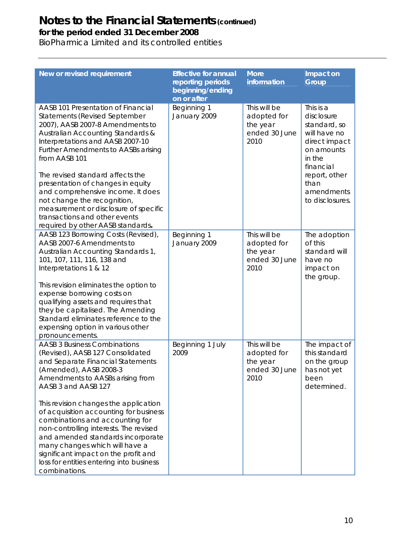**for the period ended 31 December 2008**

BioPharmica Limited and its controlled entities

| New or revised requirement                                                                                                                                                                                                                                                                                                                                                                                                                                                                                                                    | <b>Effective for annual</b><br>reporting periods<br>beginning/ending<br>on or after | <b>More</b><br>information                                       | Impact on<br>Group                                                                                                                                                      |
|-----------------------------------------------------------------------------------------------------------------------------------------------------------------------------------------------------------------------------------------------------------------------------------------------------------------------------------------------------------------------------------------------------------------------------------------------------------------------------------------------------------------------------------------------|-------------------------------------------------------------------------------------|------------------------------------------------------------------|-------------------------------------------------------------------------------------------------------------------------------------------------------------------------|
| AASB 101 Presentation of Financial<br><b>Statements (Revised September</b><br>2007), AASB 2007-8 Amendments to<br>Australian Accounting Standards &<br>Interpretations and AASB 2007-10<br><b>Further Amendments to AASBs arising</b><br>from AASB 101<br>The revised standard affects the<br>presentation of changes in equity<br>and comprehensive income. It does<br>not change the recognition,<br>measurement or disclosure of specific<br>transactions and other events<br>required by other AASB standards.                            | Beginning 1<br>January 2009                                                         | This will be<br>adopted for<br>the year<br>ended 30 June<br>2010 | This is a<br>disclosure<br>standard, so<br>will have no<br>direct impact<br>on amounts<br>in the<br>financial<br>report, other<br>than<br>amendments<br>to disclosures. |
| AASB 123 Borrowing Costs (Revised),<br>AASB 2007-6 Amendments to<br>Australian Accounting Standards 1,<br>101, 107, 111, 116, 138 and<br>Interpretations 1 & 12<br>This revision eliminates the option to<br>expense borrowing costs on<br>qualifying assets and requires that<br>they be capitalised. The Amending<br>Standard eliminates reference to the<br>expensing option in various other<br>pronouncements.                                                                                                                           | Beginning 1<br>January 2009                                                         | This will be<br>adopted for<br>the year<br>ended 30 June<br>2010 | The adoption<br>of this<br>standard will<br>have no<br>impact on<br>the group.                                                                                          |
| <b>AASB 3 Business Combinations</b><br>(Revised), AASB 127 Consolidated<br>and Separate Financial Statements<br>(Amended), AASB 2008-3<br>Amendments to AASBs arising from<br>AASB 3 and AASB 127<br>This revision changes the application<br>of acquisition accounting for business<br>combinations and accounting for<br>non-controlling interests. The revised<br>and amended standards incorporate<br>many changes which will have a<br>significant impact on the profit and<br>loss for entities entering into business<br>combinations. | Beginning 1 July<br>2009                                                            | This will be<br>adopted for<br>the year<br>ended 30 June<br>2010 | The impact of<br>this standard<br>on the group<br>has not yet<br>been<br>determined.                                                                                    |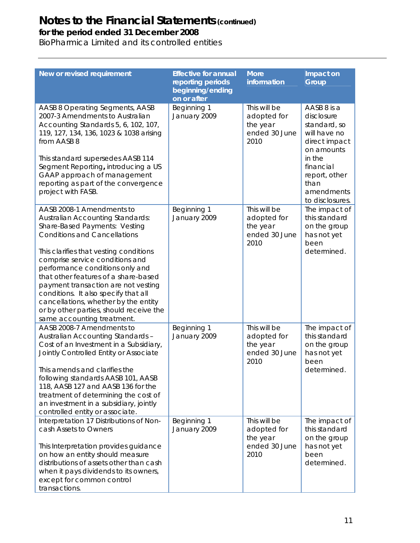**for the period ended 31 December 2008**

BioPharmica Limited and its controlled entities

| New or revised requirement                                                                                                                                                                                                                                                                                                                                                                                                                                                                           | <b>Effective for annual</b><br>reporting periods<br>beginning/ending<br>on or after | <b>More</b><br>information                                       | Impact on<br><b>Group</b>                                                                                                                                                 |
|------------------------------------------------------------------------------------------------------------------------------------------------------------------------------------------------------------------------------------------------------------------------------------------------------------------------------------------------------------------------------------------------------------------------------------------------------------------------------------------------------|-------------------------------------------------------------------------------------|------------------------------------------------------------------|---------------------------------------------------------------------------------------------------------------------------------------------------------------------------|
| AASB 8 Operating Segments, AASB<br>2007-3 Amendments to Australian<br>Accounting Standards 5, 6, 102, 107,<br>119, 127, 134, 136, 1023 & 1038 arising<br>from AASB 8<br>This standard supersedes AASB 114<br>Segment Reporting, introducing a US<br>GAAP approach of management<br>reporting as part of the convergence<br>project with FASB.                                                                                                                                                        | Beginning 1<br>January 2009                                                         | This will be<br>adopted for<br>the year<br>ended 30 June<br>2010 | AASB 8 is a<br>disclosure<br>standard, so<br>will have no<br>direct impact<br>on amounts<br>in the<br>financial<br>report, other<br>than<br>amendments<br>to disclosures. |
| AASB 2008-1 Amendments to<br><b>Australian Accounting Standards:</b><br>Share-Based Payments: Vesting<br><b>Conditions and Cancellations</b><br>This clarifies that vesting conditions<br>comprise service conditions and<br>performance conditions only and<br>that other features of a share-based<br>payment transaction are not vesting<br>conditions. It also specify that all<br>cancellations, whether by the entity<br>or by other parties, should receive the<br>same accounting treatment. | Beginning 1<br>January 2009                                                         | This will be<br>adopted for<br>the year<br>ended 30 June<br>2010 | The impact of<br>this standard<br>on the group<br>has not yet<br>been<br>determined.                                                                                      |
| AASB 2008-7 Amendments to<br>Australian Accounting Standards -<br>Cost of an Investment in a Subsidiary,<br>Jointly Controlled Entity or Associate<br>This amends and clarifies the<br>following standards AASB 101, AASB<br>118, AASB 127 and AASB 136 for the<br>treatment of determining the cost of<br>an investment in a subsidiary, jointly<br>controlled entity or associate.                                                                                                                 | Beginning 1<br>January 2009                                                         | This will be<br>adopted for<br>the year<br>ended 30 June<br>2010 | The impact of<br>this standard<br>on the group<br>has not yet<br>been<br>determined.                                                                                      |
| Interpretation 17 Distributions of Non-<br>cash Assets to Owners<br>This Interpretation provides guidance<br>on how an entity should measure<br>distributions of assets other than cash<br>when it pays dividends to its owners,<br>except for common control<br>transactions.                                                                                                                                                                                                                       | Beginning 1<br>January 2009                                                         | This will be<br>adopted for<br>the year<br>ended 30 June<br>2010 | The impact of<br>this standard<br>on the group<br>has not yet<br>been<br>determined.                                                                                      |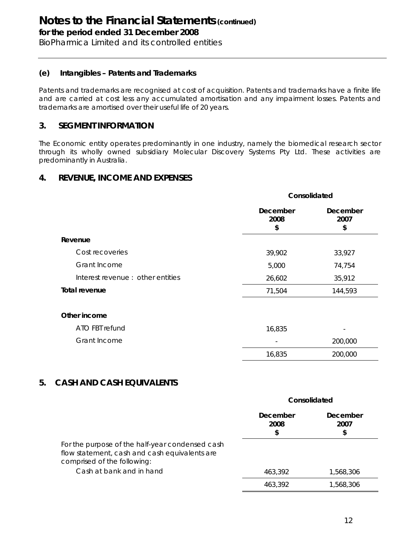**for the period ended 31 December 2008**

BioPharmica Limited and its controlled entities

### **(e) Intangibles – Patents and Trademarks**

Patents and trademarks are recognised at cost of acquisition. Patents and trademarks have a finite life and are carried at cost less any accumulated amortisation and any impairment losses. Patents and trademarks are amortised over their useful life of 20 years.

### **3. SEGMENT INFORMATION**

The Economic entity operates predominantly in one industry, namely the biomedical research sector through its wholly owned subsidiary Molecular Discovery Systems Pty Ltd. These activities are predominantly in Australia.

### **4. REVENUE, INCOME AND EXPENSES**

|                                  |                        | Consolidated           |  |  |
|----------------------------------|------------------------|------------------------|--|--|
|                                  | December<br>2008<br>\$ | December<br>2007<br>\$ |  |  |
| Revenue                          |                        |                        |  |  |
| Cost recoveries                  | 39,902                 | 33,927                 |  |  |
| Grant Income                     | 5,000                  | 74,754                 |  |  |
| Interest revenue: other entities | 26,602                 | 35,912                 |  |  |
| Total revenue                    | 71,504                 | 144,593                |  |  |
| Other income                     |                        |                        |  |  |
| ATO FBT refund                   | 16,835                 | -                      |  |  |
| Grant Income                     |                        | 200,000                |  |  |
|                                  | 16,835                 | 200,000                |  |  |

### **5. CASH AND CASH EQUIVALENTS**

|                                                                                                                                                             | Consolidated           |                        |  |
|-------------------------------------------------------------------------------------------------------------------------------------------------------------|------------------------|------------------------|--|
|                                                                                                                                                             | December<br>2008<br>\$ | December<br>2007<br>\$ |  |
| For the purpose of the half-year condensed cash<br>flow statement, cash and cash equivalents are<br>comprised of the following:<br>Cash at bank and in hand | 463,392                | 1,568,306              |  |
|                                                                                                                                                             | 463,392                | 1,568,306              |  |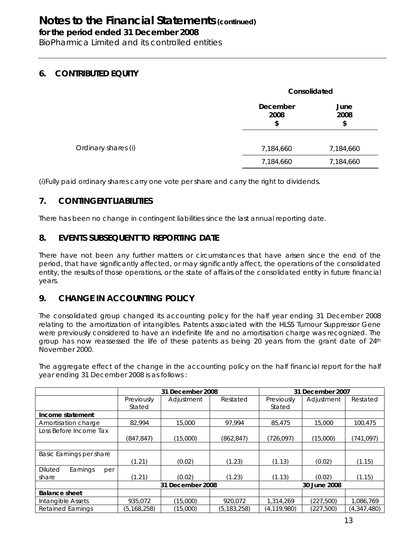**for the period ended 31 December 2008**

BioPharmica Limited and its controlled entities

## **6. CONTRIBUTED EQUITY**

|                     | Consolidated           |                    |
|---------------------|------------------------|--------------------|
|                     | December<br>2008<br>\$ | June<br>2008<br>\$ |
| Ordinary shares (i) | 7,184,660              | 7,184,660          |
|                     | 7,184,660              | 7,184,660          |

(i)Fully paid ordinary shares carry one vote per share and carry the right to dividends.

## **7. CONTINGENT LIABILITIES**

There has been no change in contingent liabilities since the last annual reporting date.

## **8. EVENTS SUBSEQUENT TO REPORTING DATE**

There have not been any further matters or circumstances that have arisen since the end of the period, that have significantly affected, or may significantly affect, the operations of the consolidated entity, the results of those operations, or the state of affairs of the consolidated entity in future financial years.

### **9. CHANGE IN ACCOUNTING POLICY**

The consolidated group changed its accounting policy for the half year ending 31 December 2008 relating to the amortization of intangibles. Patents associated with the HLS5 Tumour Suppressor Gene were previously considered to have an indefinite life and no amortisation charge was recognized. The group has now reassessed the life of these patents as being 20 years from the grant date of  $24<sup>th</sup>$ November 2000.

The aggregate effect of the change in the accounting policy on the half financial report for the half year ending 31 December 2008 is as follows :

|                                   | 31 December 2008 |            |               | 31 December 2007 |            |             |
|-----------------------------------|------------------|------------|---------------|------------------|------------|-------------|
|                                   | Previously       | Adjustment | Restated      | Previously       | Adjustment | Restated    |
|                                   | Stated           |            |               | Stated           |            |             |
| Income statement                  |                  |            |               |                  |            |             |
| Amortisation charge               | 82.994           | 15,000     | 97.994        | 85,475           | 15,000     | 100.475     |
| Loss Before Income Tax            |                  |            |               |                  |            |             |
|                                   | (847, 847)       | (15,000)   | (862, 847)    | (726, 097)       | (15,000)   | (741, 097)  |
|                                   |                  |            |               |                  |            |             |
| Basic Earnings per share          |                  |            |               |                  |            |             |
|                                   | (1.21)           | (0.02)     | (1.23)        | (1.13)           | (0.02)     | (1.15)      |
| <b>Diluted</b><br>Earnings<br>per |                  |            |               |                  |            |             |
| share                             | (1.21)           | (0.02)     | (1.23)        | (1.13)           | (0.02)     | (1.15)      |
|                                   | 31 December 2008 |            |               | 30 June 2008     |            |             |
| <b>Balance sheet</b>              |                  |            |               |                  |            |             |
| Intangible Assets                 | 935,072          | (15,000)   | 920,072       | 1,314,269        | (227, 500) | 1,086,769   |
| <b>Retained Earnings</b>          | (5, 168, 258)    | (15,000)   | (5, 183, 258) | (4, 119, 980)    | (227, 500) | (4,347,480) |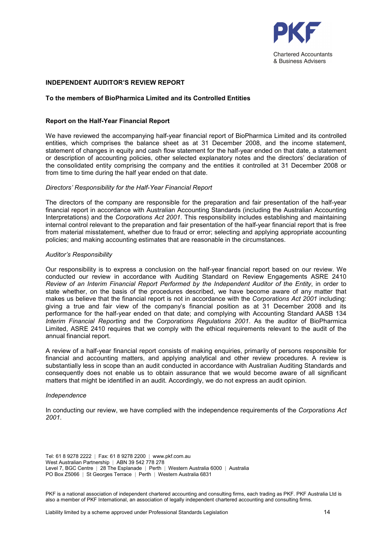

### INDEPENDENT AUDITOR'S REVIEW REPORT

#### To the members of BioPharmica Limited and its Controlled Entities

### Report on the Half-Year Financial Report

We have reviewed the accompanying half-year financial report of BioPharmica Limited and its controlled entities, which comprises the balance sheet as at 31 December 2008, and the income statement, statement of changes in equity and cash flow statement for the half-year ended on that date, a statement or description of accounting policies, other selected explanatory notes and the directors' declaration of the consolidated entity comprising the company and the entities it controlled at 31 December 2008 or from time to time during the half year ended on that date.

#### Directors' Responsibility for the Half-Year Financial Report

The directors of the company are responsible for the preparation and fair presentation of the half-year financial report in accordance with Australian Accounting Standards (including the Australian Accounting Interpretations) and the Corporations Act 2001. This responsibility includes establishing and maintaining internal control relevant to the preparation and fair presentation of the half-year financial report that is free from material misstatement, whether due to fraud or error; selecting and applying appropriate accounting policies; and making accounting estimates that are reasonable in the circumstances.

#### Auditor's Responsibility

Our responsibility is to express a conclusion on the half-year financial report based on our review. We conducted our review in accordance with Auditing Standard on Review Engagements ASRE 2410 Review of an Interim Financial Report Performed by the Independent Auditor of the Entity, in order to state whether, on the basis of the procedures described, we have become aware of any matter that makes us believe that the financial report is not in accordance with the Corporations Act 2001 including: giving a true and fair view of the company's financial position as at 31 December 2008 and its performance for the half-year ended on that date; and complying with Accounting Standard AASB 134 Interim Financial Reporting and the Corporations Regulations 2001. As the auditor of BioPharmica Limited, ASRE 2410 requires that we comply with the ethical requirements relevant to the audit of the annual financial report.

A review of a half-year financial report consists of making enquiries, primarily of persons responsible for financial and accounting matters, and applying analytical and other review procedures. A review is substantially less in scope than an audit conducted in accordance with Australian Auditing Standards and consequently does not enable us to obtain assurance that we would become aware of all significant matters that might be identified in an audit. Accordingly, we do not express an audit opinion.

#### Independence

In conducting our review, we have complied with the independence requirements of the Corporations Act 2001.

Tel: 61 8 9278 2222 | Fax: 61 8 9278 2200 | www.pkf.com.au West Australian Partnership | ABN 39 542 778 278 Level 7, BGC Centre | 28 The Esplanade | Perth | Western Australia 6000 | Australia PO Box Z5066 | St Georges Terrace | Perth | Western Australia 6831

PKF is a national association of independent chartered accounting and consulting firms, each trading as PKF. PKF Australia Ltd is also a member of PKF International, an association of legally independent chartered accounting and consulting firms.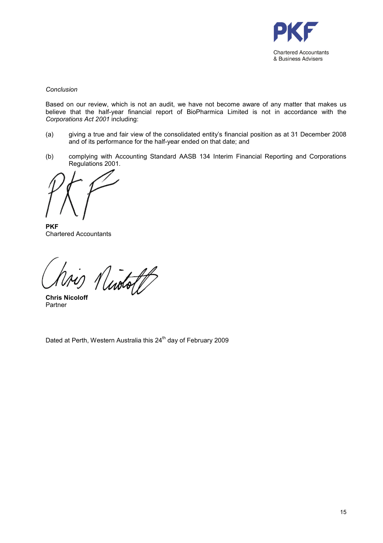

### Conclusion

Based on our review, which is not an audit, we have not become aware of any matter that makes us believe that the half-year financial report of BioPharmica Limited is not in accordance with the Corporations Act 2001 including:

- (a) giving a true and fair view of the consolidated entity's financial position as at 31 December 2008 and of its performance for the half-year ended on that date; and
- (b) complying with Accounting Standard AASB 134 Interim Financial Reporting and Corporations Regulations 2001.

**PKF** Chartered Accountants

Niotoff

Chris Nicoloff Partner

Dated at Perth, Western Australia this 24<sup>th</sup> day of February 2009